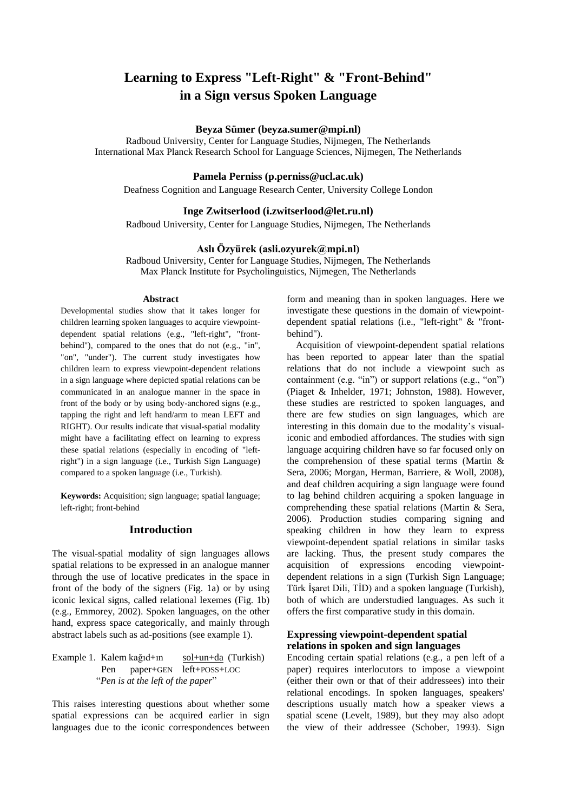# **Learning to Express "Left-Right" & "Front-Behind" in a Sign versus Spoken Language**

# **Beyza Sümer (beyza.sumer@mpi.nl)**

Radboud University, Center for Language Studies, Nijmegen, The Netherlands International Max Planck Research School for Language Sciences, Nijmegen, The Netherlands

# **Pamela Perniss (p.perniss@ucl.ac.uk)**

Deafness Cognition and Language Research Center, University College London

# **Inge Zwitserlood (i.zwitserlood@let.ru.nl)**

Radboud University, Center for Language Studies, Nijmegen, The Netherlands

# **Aslı Özyürek (asli.ozyurek@mpi.nl)**

Radboud University, Center for Language Studies, Nijmegen, The Netherlands Max Planck Institute for Psycholinguistics, Nijmegen, The Netherlands

#### **Abstract**

Developmental studies show that it takes longer for children learning spoken languages to acquire viewpointdependent spatial relations (e.g., "left-right", "frontbehind"), compared to the ones that do not (e.g., "in", "on", "under"). The current study investigates how children learn to express viewpoint-dependent relations in a sign language where depicted spatial relations can be communicated in an analogue manner in the space in front of the body or by using body-anchored signs (e.g., tapping the right and left hand/arm to mean LEFT and RIGHT). Our results indicate that visual-spatial modality might have a facilitating effect on learning to express these spatial relations (especially in encoding of "leftright") in a sign language (i.e., Turkish Sign Language) compared to a spoken language (i.e., Turkish).

**Keywords:** Acquisition; sign language; spatial language; left-right; front-behind

# **Introduction**

The visual-spatial modality of sign languages allows spatial relations to be expressed in an analogue manner through the use of locative predicates in the space in front of the body of the signers (Fig. 1a) or by using iconic lexical signs, called relational lexemes (Fig. 1b) (e.g., Emmorey, 2002). Spoken languages, on the other hand, express space categorically, and mainly through abstract labels such as ad-positions (see example 1).

Example 1. Kalem kağıd+ın sol+un+da (Turkish) Pen paper+GEN left+POSS+LOC "*Pen is at the left of the paper*"

This raises interesting questions about whether some spatial expressions can be acquired earlier in sign languages due to the iconic correspondences between form and meaning than in spoken languages. Here we investigate these questions in the domain of viewpointdependent spatial relations (i.e., "left-right" & "frontbehind").

Acquisition of viewpoint-dependent spatial relations has been reported to appear later than the spatial relations that do not include a viewpoint such as containment (e.g. "in") or support relations (e.g., "on") (Piaget & Inhelder, 1971; Johnston, 1988). However, these studies are restricted to spoken languages, and there are few studies on sign languages, which are interesting in this domain due to the modality's visualiconic and embodied affordances. The studies with sign language acquiring children have so far focused only on the comprehension of these spatial terms (Martin & Sera, 2006; Morgan, Herman, Barriere, & Woll, 2008), and deaf children acquiring a sign language were found to lag behind children acquiring a spoken language in comprehending these spatial relations (Martin & Sera, 2006). Production studies comparing signing and speaking children in how they learn to express viewpoint-dependent spatial relations in similar tasks are lacking. Thus, the present study compares the acquisition of expressions encoding viewpointdependent relations in a sign (Turkish Sign Language; Türk İşaret Dili, TİD) and a spoken language (Turkish), both of which are understudied languages. As such it offers the first comparative study in this domain.

# **Expressing viewpoint-dependent spatial relations in spoken and sign languages**

Encoding certain spatial relations (e.g., a pen left of a paper) requires interlocutors to impose a viewpoint (either their own or that of their addressees) into their relational encodings. In spoken languages, speakers' descriptions usually match how a speaker views a spatial scene (Levelt, 1989), but they may also adopt the view of their addressee (Schober, 1993). Sign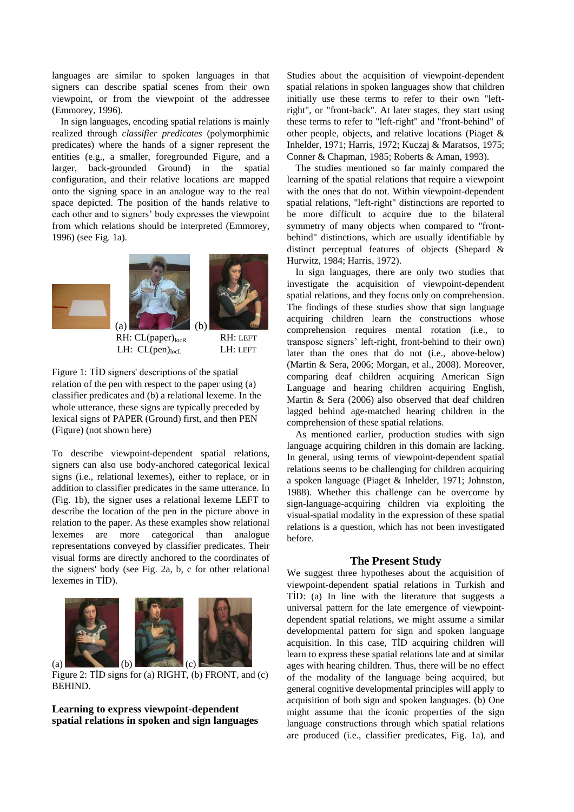languages are similar to spoken languages in that signers can describe spatial scenes from their own viewpoint, or from the viewpoint of the addressee (Emmorey, 1996).

In sign languages, encoding spatial relations is mainly realized through *classifier predicates* (polymorphimic predicates) where the hands of a signer represent the entities (e.g., a smaller, foregrounded Figure, and a larger, back-grounded Ground) in the spatial configuration, and their relative locations are mapped onto the signing space in an analogue way to the real space depicted. The position of the hands relative to each other and to signers' body expresses the viewpoint from which relations should be interpreted (Emmorey, 1996) (see Fig. 1a).





RH: CL(paper)<sub>locR</sub> RH: LEFT LH: CL(pen)<sub>locL</sub> LH: LEFT

Figure 1: TİD signers' descriptions of the spatial relation of the pen with respect to the paper using (a) classifier predicates and (b) a relational lexeme. In the whole utterance, these signs are typically preceded by lexical signs of PAPER (Ground) first, and then PEN (Figure) (not shown here)

To describe viewpoint-dependent spatial relations, signers can also use body-anchored categorical lexical signs (i.e., relational lexemes), either to replace, or in addition to classifier predicates in the same utterance. In (Fig. 1b), the signer uses a relational lexeme LEFT to describe the location of the pen in the picture above in relation to the paper. As these examples show relational lexemes are more categorical than analogue representations conveyed by classifier predicates. Their visual forms are directly anchored to the coordinates of the signers' body (see Fig. 2a, b, c for other relational lexemes in TİD).



Figure 2: TİD signs for (a) RIGHT, (b) FRONT, and (c) BEHIND.

**Learning to express viewpoint-dependent spatial relations in spoken and sign languages** Studies about the acquisition of viewpoint-dependent spatial relations in spoken languages show that children initially use these terms to refer to their own "leftright", or "front-back". At later stages, they start using these terms to refer to "left-right" and "front-behind" of other people, objects, and relative locations (Piaget & Inhelder, 1971; Harris, 1972; Kuczaj & Maratsos, 1975; Conner & Chapman, 1985; Roberts & Aman, 1993).

The studies mentioned so far mainly compared the learning of the spatial relations that require a viewpoint with the ones that do not. Within viewpoint-dependent spatial relations, "left-right" distinctions are reported to be more difficult to acquire due to the bilateral symmetry of many objects when compared to "frontbehind" distinctions, which are usually identifiable by distinct perceptual features of objects (Shepard & Hurwitz, 1984; Harris, 1972).

In sign languages, there are only two studies that investigate the acquisition of viewpoint-dependent spatial relations, and they focus only on comprehension. The findings of these studies show that sign language acquiring children learn the constructions whose comprehension requires mental rotation (i.e., to transpose signers' left-right, front-behind to their own) later than the ones that do not (i.e., above-below) (Martin & Sera, 2006; Morgan, et al., 2008). Moreover, comparing deaf children acquiring American Sign Language and hearing children acquiring English, Martin & Sera (2006) also observed that deaf children lagged behind age-matched hearing children in the comprehension of these spatial relations.

As mentioned earlier, production studies with sign language acquiring children in this domain are lacking. In general, using terms of viewpoint-dependent spatial relations seems to be challenging for children acquiring a spoken language (Piaget & Inhelder, 1971; Johnston, 1988). Whether this challenge can be overcome by sign-language-acquiring children via exploiting the visual-spatial modality in the expression of these spatial relations is a question, which has not been investigated before.

#### **The Present Study**

We suggest three hypotheses about the acquisition of viewpoint-dependent spatial relations in Turkish and TİD: (a) In line with the literature that suggests a universal pattern for the late emergence of viewpointdependent spatial relations, we might assume a similar developmental pattern for sign and spoken language acquisition. In this case, TİD acquiring children will learn to express these spatial relations late and at similar ages with hearing children. Thus, there will be no effect of the modality of the language being acquired, but general cognitive developmental principles will apply to acquisition of both sign and spoken languages. (b) One might assume that the iconic properties of the sign language constructions through which spatial relations are produced (i.e., classifier predicates, Fig. 1a), and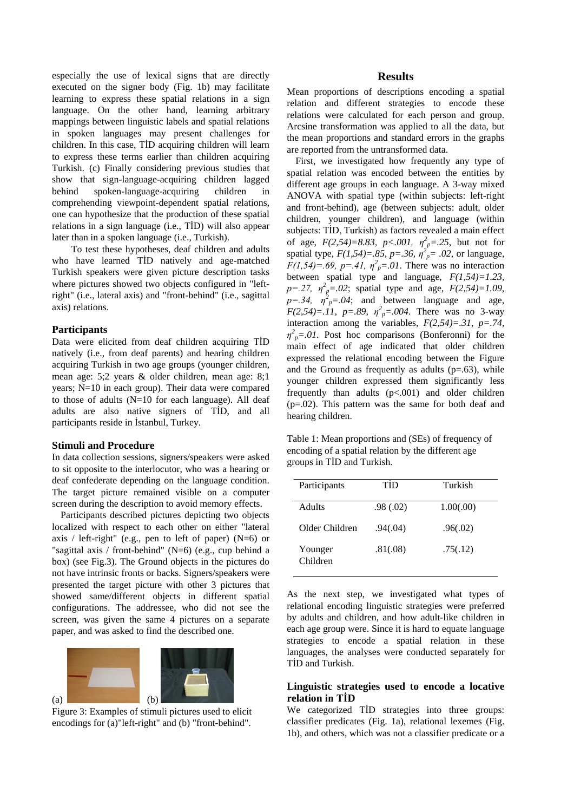especially the use of lexical signs that are directly executed on the signer body (Fig. 1b) may facilitate learning to express these spatial relations in a sign language. On the other hand, learning arbitrary mappings between linguistic labels and spatial relations in spoken languages may present challenges for children. In this case, TİD acquiring children will learn to express these terms earlier than children acquiring Turkish. (c) Finally considering previous studies that show that sign-language-acquiring children lagged behind spoken-language-acquiring children in comprehending viewpoint-dependent spatial relations, one can hypothesize that the production of these spatial relations in a sign language (i.e., TİD) will also appear later than in a spoken language (i.e., Turkish).

 To test these hypotheses, deaf children and adults who have learned TİD natively and age-matched Turkish speakers were given picture description tasks where pictures showed two objects configured in "leftright" (i.e., lateral axis) and "front-behind" (i.e., sagittal axis) relations.

#### **Participants**

Data were elicited from deaf children acquiring TİD natively (i.e., from deaf parents) and hearing children acquiring Turkish in two age groups (younger children, mean age: 5;2 years & older children, mean age: 8;1 years; N=10 in each group). Their data were compared to those of adults (N=10 for each language). All deaf adults are also native signers of TİD, and all participants reside in İstanbul, Turkey.

#### **Stimuli and Procedure**

In data collection sessions, signers/speakers were asked to sit opposite to the interlocutor, who was a hearing or deaf confederate depending on the language condition. The target picture remained visible on a computer screen during the description to avoid memory effects.

Participants described pictures depicting two objects localized with respect to each other on either "lateral axis / left-right" (e.g., pen to left of paper) ( $N=6$ ) or "sagittal axis / front-behind" (N=6) (e.g., cup behind a box) (see Fig.3). The Ground objects in the pictures do not have intrinsic fronts or backs. Signers/speakers were presented the target picture with other 3 pictures that showed same/different objects in different spatial configurations. The addressee, who did not see the screen, was given the same 4 pictures on a separate paper, and was asked to find the described one.



Figure 3: Examples of stimuli pictures used to elicit encodings for (a)"left-right" and (b) "front-behind".

#### **Results**

Mean proportions of descriptions encoding a spatial relation and different strategies to encode these relations were calculated for each person and group. Arcsine transformation was applied to all the data, but the mean proportions and standard errors in the graphs are reported from the untransformed data.

First, we investigated how frequently any type of spatial relation was encoded between the entities by different age groups in each language. A 3-way mixed ANOVA with spatial type (within subjects: left-right and front-behind), age (between subjects: adult, older children, younger children), and language (within subjects: TİD, Turkish) as factors revealed a main effect of age,  $F(2,54)=8.83$ ,  $p<.001$ ,  $\eta^2 p=.25$ , but not for spatial type,  $F(1,54) = .85$ ,  $p = .36$ ,  $\eta^2 = .02$ , or language,  $F(1,54) = .69$ ,  $p = .41$ ,  $\eta^2 p = .01$ . There was no interaction between spatial type and language, *F(1,54)=1.23,*   $p = 0.27$ ,  $\eta^2 p = 0.02$ ; spatial type and age,  $F(2,54) = 1.09$ ,  $p=34$ ,  $\eta^2 p=.04$ ; and between language and age, *F*(2,54)=.11,  $p=0.89$ ,  $\eta^2 p=0.004$ . There was no 3-way interaction among the variables,  $F(2,54)=31$ ,  $p=.74$ ,  $\eta^2 p = 01$ . Post hoc comparisons (Bonferonni) for the main effect of age indicated that older children expressed the relational encoding between the Figure and the Ground as frequently as adults  $(p=.63)$ , while younger children expressed them significantly less frequently than adults  $(p<.001)$  and older children (p=.02). This pattern was the same for both deaf and hearing children.

Table 1: Mean proportions and (SEs) of frequency of encoding of a spatial relation by the different age groups in TİD and Turkish.

| Participants        | TÌD      | Turkish   |
|---------------------|----------|-----------|
| Adults              | .98(.02) | 1.00(.00) |
| Older Children      | .94(.04) | .96(.02)  |
| Younger<br>Children | .81(.08) | .75(.12)  |

As the next step, we investigated what types of relational encoding linguistic strategies were preferred by adults and children, and how adult-like children in each age group were. Since it is hard to equate language strategies to encode a spatial relation in these languages, the analyses were conducted separately for TİD and Turkish.

# **Linguistic strategies used to encode a locative relation in TİD**

We categorized TID strategies into three groups: classifier predicates (Fig. 1a), relational lexemes (Fig. 1b), and others, which was not a classifier predicate or a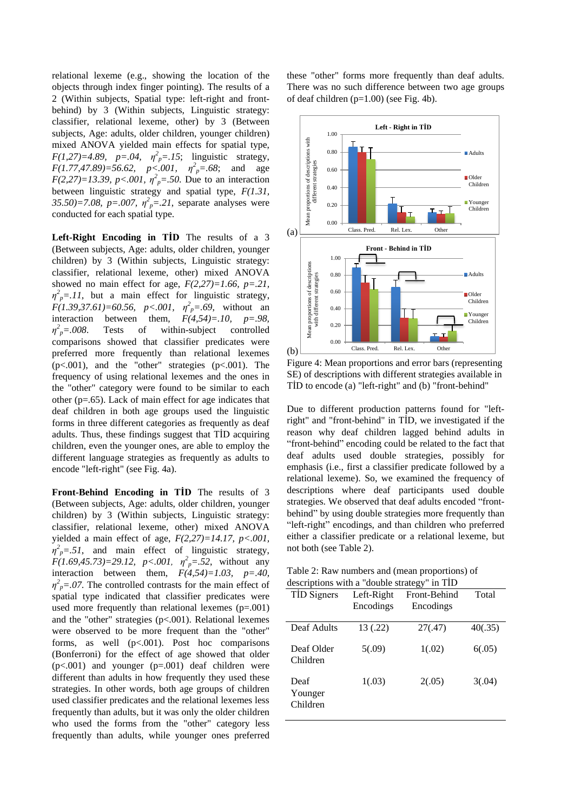relational lexeme (e.g., showing the location of the objects through index finger pointing). The results of a 2 (Within subjects, Spatial type: left-right and frontbehind) by 3 (Within subjects, Linguistic strategy: classifier, relational lexeme, other) by 3 (Between subjects, Age: adults, older children, younger children) mixed ANOVA yielded main effects for spatial type, *F*(1,27)=4.89,  $p=0.04$ ,  $\eta^2 p=.15$ ; linguistic strategy, *F*(1.77,47.89)=56.62, *p*<.001,  $\eta^2 p = .68$ ; and age *F*(2,27)=13.39, *p*<.001,  $\eta^2 p = .50$ . Due to an interaction between linguistic strategy and spatial type, *F(1.31, 35.50*)=7.08,  $p = .007$ ,  $\eta^2 p = .21$ , separate analyses were conducted for each spatial type.

**Left-Right Encoding in TİD** The results of a 3 (Between subjects, Age: adults, older children, younger children) by 3 (Within subjects, Linguistic strategy: classifier, relational lexeme, other) mixed ANOVA showed no main effect for age,  $F(2,27)=1.66$ ,  $p=.21$ ,  $\eta^2 p = I I$ , but a main effect for linguistic strategy, *F*(1.39,37.61)=60.56, *p*<.001,  $\eta^2 p = .69$ , without an interaction between them,  $F(4,54)=.10$ ,  $p=.98$ , *η 2* Tests of within-subject controlled comparisons showed that classifier predicates were preferred more frequently than relational lexemes  $(p<.001)$ , and the "other" strategies  $(p<.001)$ . The frequency of using relational lexemes and the ones in the "other" category were found to be similar to each other (p=.65). Lack of main effect for age indicates that deaf children in both age groups used the linguistic forms in three different categories as frequently as deaf adults. Thus, these findings suggest that TİD acquiring children, even the younger ones, are able to employ the different language strategies as frequently as adults to encode "left-right" (see Fig. 4a).

**Front-Behind Encoding in TİD** The results of 3 (Between subjects, Age: adults, older children, younger children) by 3 (Within subjects, Linguistic strategy: classifier, relational lexeme, other) mixed ANOVA yielded a main effect of age, *F(2,27)=14.17, p<.001,*   $\eta^2 p = .51$ , and main effect of linguistic strategy, *F*(1.69,45.73)=29.12, *p*<.001,  $\eta^2 p = .52$ , without any interaction between them,  $F(A,54)=1.03$ ,  $p=.40$ ,  $\eta^2_{\rho} = 0.07$ . The controlled contrasts for the main effect of spatial type indicated that classifier predicates were used more frequently than relational lexemes (p=.001) and the "other" strategies  $(p<.001)$ . Relational lexemes were observed to be more frequent than the "other" forms, as well (p<.001). Post hoc comparisons (Bonferroni) for the effect of age showed that older  $(p<.001)$  and younger  $(p=.001)$  deaf children were different than adults in how frequently they used these strategies. In other words, both age groups of children used classifier predicates and the relational lexemes less frequently than adults, but it was only the older children who used the forms from the "other" category less frequently than adults, while younger ones preferred

these "other" forms more frequently than deaf adults. There was no such difference between two age groups of deaf children (p=1.00) (see Fig. 4b).



Figure 4: Mean proportions and error bars (representing SE) of descriptions with different strategies available in TİD to encode (a) "left-right" and (b) "front-behind"

Due to different production patterns found for "leftright" and "front-behind" in TİD, we investigated if the reason why deaf children lagged behind adults in "front-behind" encoding could be related to the fact that deaf adults used double strategies, possibly for emphasis (i.e., first a classifier predicate followed by a relational lexeme). So, we examined the frequency of descriptions where deaf participants used double strategies. We observed that deaf adults encoded "frontbehind" by using double strategies more frequently than "left-right" encodings, and than children who preferred either a classifier predicate or a relational lexeme, but not both (see Table 2).

Table 2: Raw numbers and (mean proportions) of descriptions with a "double strategy" in TİD

| TID Signers                 | Left-Right | Front-Behind | Total   |
|-----------------------------|------------|--------------|---------|
|                             | Encodings  | Encodings    |         |
| Deaf Adults                 | 13 (.22)   | 27(.47)      | 40(.35) |
| Deaf Older<br>Children      | 5(.09)     | 1(.02)       | 6(.05)  |
| Deaf<br>Younger<br>Children | 1(.03)     | 2(.05)       | 3(.04)  |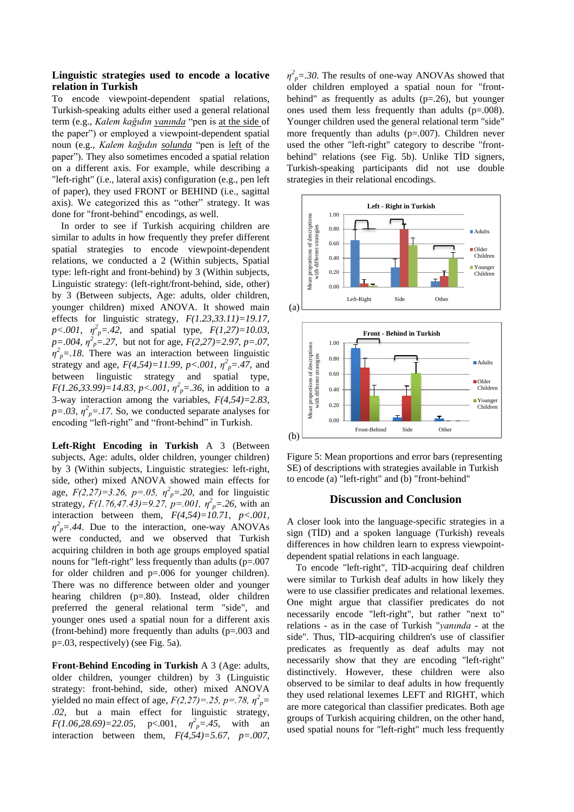### **Linguistic strategies used to encode a locative relation in Turkish**

To encode viewpoint-dependent spatial relations, Turkish-speaking adults either used a general relational term (e.g., *Kalem kağıdın yanında* "pen is at the side of the paper") or employed a viewpoint-dependent spatial noun (e.g., *Kalem kağıdın solunda* "pen is left of the paper"). They also sometimes encoded a spatial relation on a different axis. For example, while describing a "left-right" (i.e., lateral axis) configuration (e.g., pen left of paper), they used FRONT or BEHIND (i.e., sagittal axis). We categorized this as "other" strategy. It was done for "front-behind" encodings, as well.

In order to see if Turkish acquiring children are similar to adults in how frequently they prefer different spatial strategies to encode viewpoint-dependent relations, we conducted a 2 (Within subjects, Spatial type: left-right and front-behind) by 3 (Within subjects, Linguistic strategy: (left-right/front-behind, side, other) by 3 (Between subjects, Age: adults, older children, younger children) mixed ANOVA. It showed main effects for linguistic strategy, *F(1.23,33.11)=19.17,*   $p < .001$ ,  $\eta^2_{p} = .42$ , and spatial type,  $F(1,27) = 10.03$ , *p=.004, η 2 <sup>p</sup>=.27*, but not for age, *F(2,27)=2.97, p=.07,*  $\eta^2 p = 18$ . There was an interaction between linguistic strategy and age,  $F(4,54)=11.99$ ,  $p<.001$ ,  $\eta^2 p=.47$ , and between linguistic strategy and spatial type, *F*(1.26,33.99)=14.83, *p*<.001,  $\eta^2 p = 0.36$ , in addition to a 3-way interaction among the variables, *F(4,54)=2.83,*   $p = .03$ ,  $\eta^2 p = .17$ . So, we conducted separate analyses for encoding "left-right" and "front-behind" in Turkish.

**Left-Right Encoding in Turkish** A 3 (Between subjects, Age: adults, older children, younger children) by 3 (Within subjects, Linguistic strategies: left-right, side, other) mixed ANOVA showed main effects for age,  $F(2,27)=3.26$ ,  $p=.05$ ,  $\eta^2 p=.20$ , and for linguistic strategy,  $F(1.76, 47.43)=9.27$ ,  $p=.001$ ,  $\eta^2_p=.26$ , with an interaction between them,  $F(4,54)=10.71$ ,  $p<.001$ ,  $\eta^2 p = .44$ . Due to the interaction, one-way ANOVAs were conducted, and we observed that Turkish acquiring children in both age groups employed spatial nouns for "left-right" less frequently than adults (p=.007 for older children and p=.006 for younger children). There was no difference between older and younger hearing children (p=.80). Instead, older children preferred the general relational term "side", and younger ones used a spatial noun for a different axis (front-behind) more frequently than adults (p=.003 and p=.03, respectively) (see Fig. 5a).

**Front-Behind Encoding in Turkish** A 3 (Age: adults, older children, younger children) by 3 (Linguistic strategy: front-behind, side, other) mixed ANOVA yielded no main effect of age,  $F(2,27) = .25$ ,  $p = .78$ ,  $\eta^2 p =$ *.02*, but a main effect for linguistic strategy, *F*(1.06,28.69)=22.05, **p**<.001,  $\eta^2 p = .45$ , with an interaction between them,  $F(4,54)=5.67$ ,  $p=.007$ ,

 $\eta^2_{\ p} = .30$ . The results of one-way ANOVAs showed that older children employed a spatial noun for "frontbehind" as frequently as adults  $(p=0.26)$ , but younger ones used them less frequently than adults (p=.008). Younger children used the general relational term "side" more frequently than adults  $(p=.007)$ . Children never used the other "left-right" category to describe "frontbehind" relations (see Fig. 5b). Unlike TİD signers, Turkish-speaking participants did not use double strategies in their relational encodings.





Figure 5: Mean proportions and error bars (representing SE) of descriptions with strategies available in Turkish to encode (a) "left-right" and (b) "front-behind"

#### **Discussion and Conclusion**

A closer look into the language-specific strategies in a sign (TİD) and a spoken language (Turkish) reveals differences in how children learn to express viewpointdependent spatial relations in each language.

To encode "left-right", TİD-acquiring deaf children were similar to Turkish deaf adults in how likely they were to use classifier predicates and relational lexemes. One might argue that classifier predicates do not necessarily encode "left-right", but rather "next to" relations - as in the case of Turkish "*yanında* - at the side". Thus, TİD-acquiring children's use of classifier predicates as frequently as deaf adults may not necessarily show that they are encoding "left-right" distinctively. However, these children were also observed to be similar to deaf adults in how frequently they used relational lexemes LEFT and RIGHT, which are more categorical than classifier predicates. Both age groups of Turkish acquiring children, on the other hand, used spatial nouns for "left-right" much less frequently